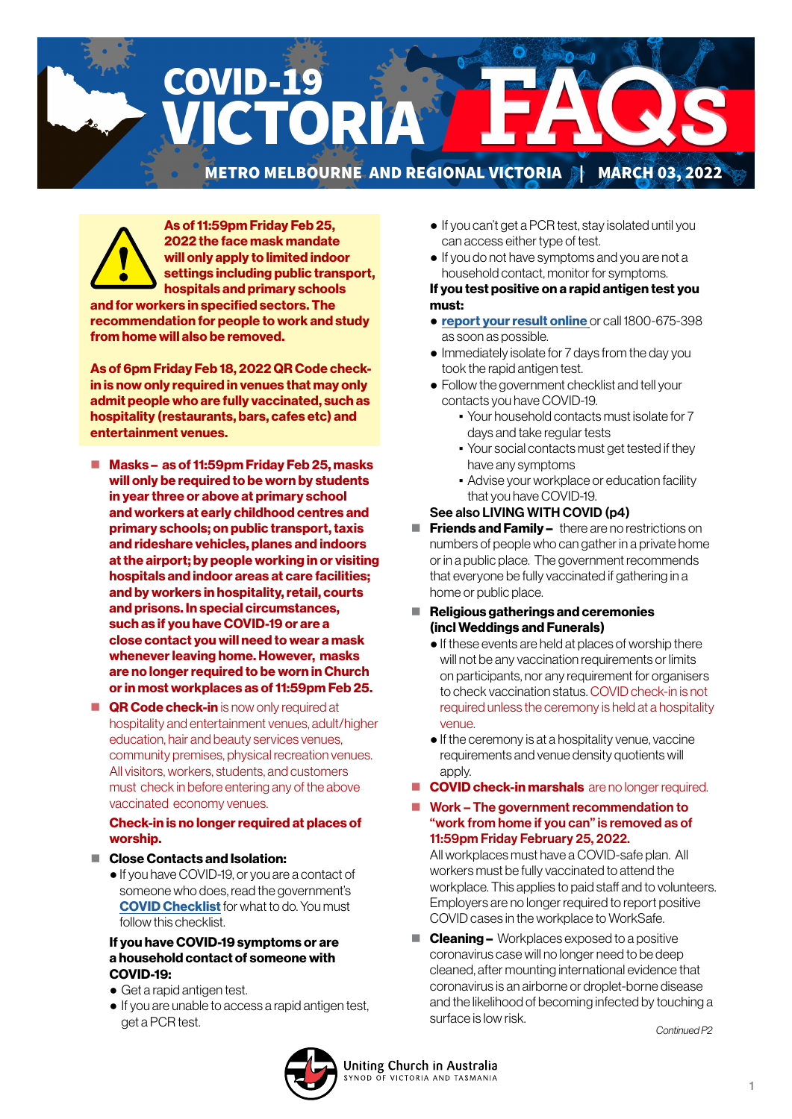

As of 11:59pm Friday Feb 25, 2022 the face mask mandate will only apply to limited indoor settings including public transport, hospitals and primary schools and for workers in specified sectors. The

recommendation for people to work and study from home will also be removed.

As of 6pm Friday Feb 18, 2022 QR Code checkin is now only required in venues that may only admit people who are fully vaccinated, such as hospitality (restaurants, bars, cafes etc) and entertainment venues.

- Masks as of 11:59pm Friday Feb 25, masks will only be required to be worn by students in year three or above at primary school and workers at early childhood centres and primary schools; on public transport, taxis and rideshare vehicles, planes and indoors at the airport; by people working in or visiting hospitals and indoor areas at care facilities; and by workers in hospitality, retail, courts and prisons. In special circumstances, such as if you have COVID-19 or are a close contact you will need to wear a mask whenever leaving home. However, masks are no longer required to be worn in Church or in most workplaces as of 11:59pm Feb 25.
- **QR Code check-in** is now only required at hospitality and entertainment venues, adult/higher education, hair and beauty services venues, community premises, physical recreation venues. All visitors, workers, students, and customers must check in before entering any of the above vaccinated economy venues.

#### Check-in is no longer required at places of worship.

- Close Contacts and Isolation:
	- If you have COVID-19, or you are a contact of someone who does, read the government's **[COVID Checklist](https://www.coronavirus.vic.gov.au/checklist)** for what to do. You must follow this checklist.

#### If you have COVID-19 symptoms or are a household contact of someone with COVID-19:

- Get a rapid antigen test.
- If you are unable to access a rapid antigen test, get a PCR test. *Continued P2*
- If you can't get a PCR test, stay isolated until you can access either type of test.
- If you do not have symptoms and you are not a household contact, monitor for symptoms.

#### If you test positive on a rapid antigen test you must:

- [report your result online](https://www.coronavirus.vic.gov.au/node/22270) or call 1800-675-398 as soon as possible.
- Immediately isolate for 7 days from the day you took the rapid antigen test.
- Follow the government checklist and tell your contacts you have COVID-19.
	- Your household contacts must isolate for 7 days and take regular tests
	- Your social contacts must get tested if they have any symptoms
	- **Advise your workplace or education facility** that you have COVID-19.
- See also LIVING WITH COVID (p4)
- $\blacksquare$  Friends and Family  $-$  there are no restrictions on numbers of people who can gather in a private home or in a public place. The government recommends that everyone be fully vaccinated if gathering in a home or public place.
- Religious gatherings and ceremonies (incl Weddings and Funerals)
	- If these events are held at places of worship there will not be any vaccination requirements or limits on participants, nor any requirement for organisers to check vaccination status. COVID check-in is not required unless the ceremony is held at a hospitality venue.
	- If the ceremony is at a hospitality venue, vaccine requirements and venue density quotients will apply.
- COVID check-in marshals are no longer required.
- Work The government recommendation to "work from home if you can" is removed as of 11:59pm Friday February 25, 2022.

All workplaces must have a COVID-safe plan. All workers must be fully vaccinated to attend the workplace. This applies to paid staff and to volunteers. Employers are no longer required to report positive COVID cases in the workplace to WorkSafe.

 $\blacksquare$  **Cleaning –** Workplaces exposed to a positive coronavirus case will no longer need to be deep cleaned, after mounting international evidence that coronavirus is an airborne or droplet-borne disease and the likelihood of becoming infected by touching a surface is low risk.

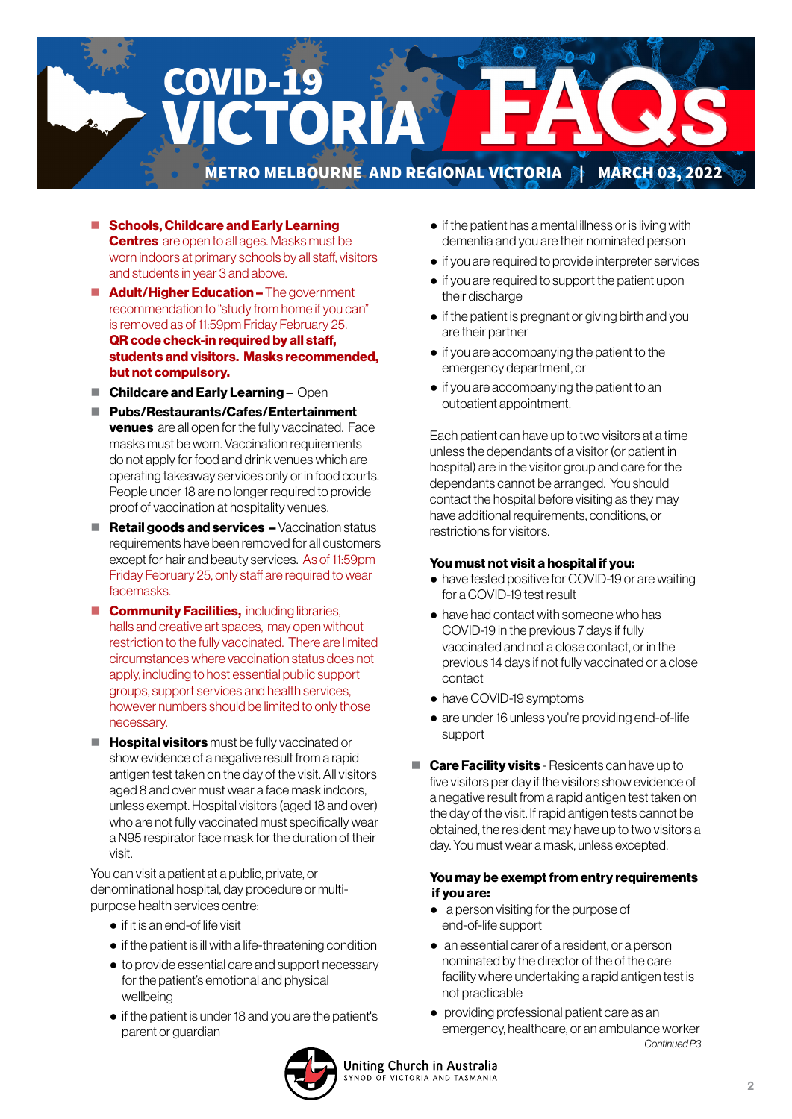

- Schools, Childcare and Early Learning **Centres** are open to all ages. Masks must be worn indoors at primary schools by all staff, visitors and students in year 3 and above.
- **Adult/Higher Education –** The government recommendation to "study from home if you can" is removed as of 11:59pm Friday February 25. QR code check-in required by all staff, students and visitors. Masks recommended, but not compulsory.
- $\blacksquare$  Childcare and Early Learning Open
- Pubs/Restaurants/Cafes/Entertainment **venues** are all open for the fully vaccinated. Face masks must be worn. Vaccination requirements do not apply for food and drink venues which are operating takeaway services only or in food courts. People under 18 are no longer required to provide proof of vaccination at hospitality venues.
- $\blacksquare$  Retail goods and services  $-$  Vaccination status requirements have been removed for all customers except for hair and beauty services. As of 11:59pm Friday February 25, only staff are required to wear facemasks.
- **Community Facilities, including libraries,** halls and creative art spaces, may open without restriction to the fully vaccinated. There are limited circumstances where vaccination status does not apply, including to host essential public support groups, support services and health services, however numbers should be limited to only those necessary.
- $\blacksquare$  Hospital visitors must be fully vaccinated or show evidence of a negative result from a rapid antigen test taken on the day of the visit. All visitors aged 8 and over must wear a face mask indoors, unless exempt. Hospital visitors (aged 18 and over) who are not fully vaccinated must specifically wear a N95 respirator face mask for the duration of their visit.

You can visit a patient at a public, private, or denominational hospital, day procedure or multipurpose health services centre:

- if it is an end-of life visit
- if the patient is ill with a life-threatening condition
- to provide essential care and support necessary for the patient's emotional and physical wellbeing
- if the patient is under 18 and you are the patient's parent or guardian
- if the patient has a mental illness or is living with dementia and you are their nominated person
- if you are required to provide interpreter services
- if you are required to support the patient upon their discharge
- if the patient is pregnant or giving birth and you are their partner
- if you are accompanying the patient to the emergency department, or
- if you are accompanying the patient to an outpatient appointment.

 Each patient can have up to two visitors at a time unless the dependants of a visitor (or patient in hospital) are in the visitor group and care for the dependants cannot be arranged. You should contact the hospital before visiting as they may have additional requirements, conditions, or restrictions for visitors.

#### You must not visit a hospital if you:

- have tested positive for COVID-19 or are waiting for a COVID-19 test result
- have had contact with someone who has COVID-19 in the previous 7 days if fully vaccinated and not a close contact, or in the previous 14 days if not fully vaccinated or a close contact
- have COVID-19 symptoms
- are under 16 unless you're providing end-of-life support
- **Care Facility visits** Residents can have up to five visitors per day if the visitors show evidence of a negative result from a rapid antigen test taken on the day of the visit. If rapid antigen tests cannot be obtained, the resident may have up to two visitors a day. You must wear a mask, unless excepted.

#### You may be exempt from entry requirements if you are:

- a person visiting for the purpose of end-of-life support
- an essential carer of a resident, or a person nominated by the director of the of the care facility where undertaking a rapid antigen test is not practicable
- providing professional patient care as an emergency, healthcare, or an ambulance worker *Continued P3*

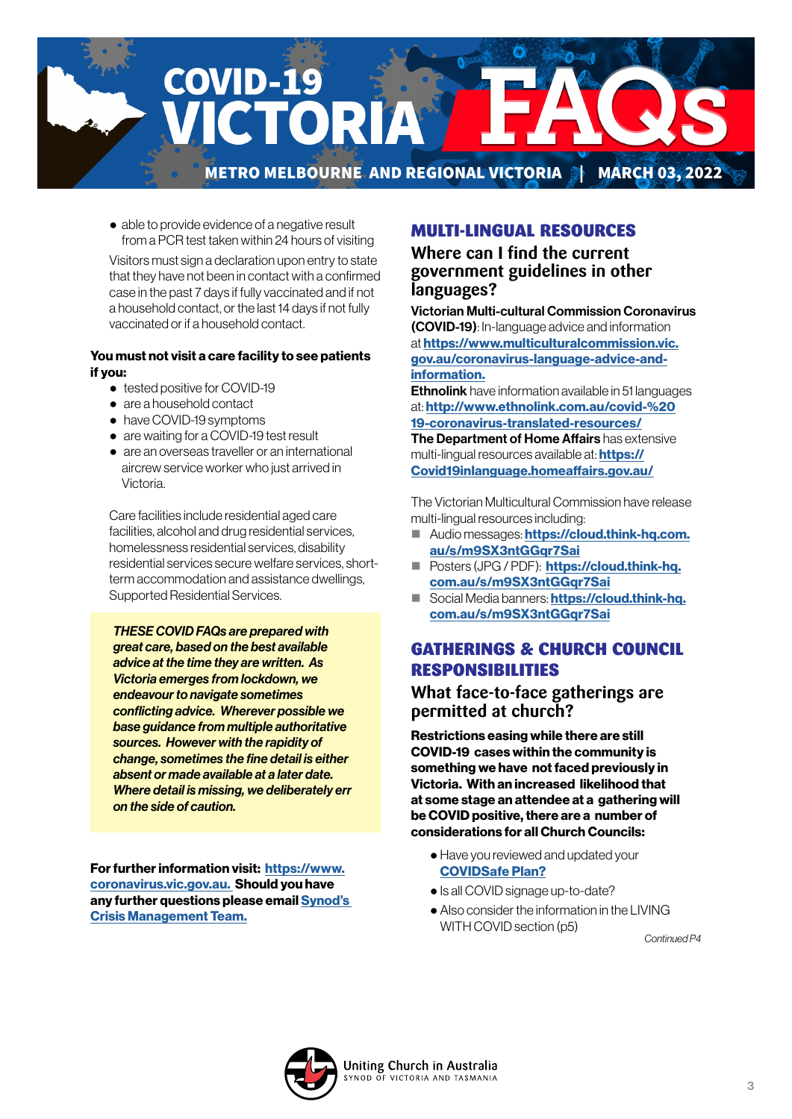

● able to provide evidence of a negative result from a PCR test taken within 24 hours of visiting

 Visitors must sign a declaration upon entry to state that they have not been in contact with a confirmed case in the past 7 days if fully vaccinated and if not a household contact, or the last 14 days if not fully vaccinated or if a household contact.

#### You must not visit a care facility to see patients if you:

- tested positive for COVID-19
- are a household contact
- have COVID-19 symptoms
- are waiting for a COVID-19 test result
- are an overseas traveller or an international aircrew service worker who just arrived in Victoria.

 Care facilities include residential aged care facilities, alcohol and drug residential services, homelessness residential services, disability residential services secure welfare services, shortterm accommodation and assistance dwellings, Supported Residential Services.

*THESE COVID FAQs are prepared with great care, based on the best available advice at the time they are written. As Victoria emerges from lockdown, we endeavour to navigate sometimes conflicting advice. Wherever possible we base guidance from multiple authoritative sources. However with the rapidity of change, sometimes the fine detail is either absent or made available at a later date. Where detail is missing, we deliberately err on the side of caution.* 

For further information visit: [https://www.](https://www.coronavirus.vic.gov.au) [coronavirus.vic.gov.au.](https://www.coronavirus.vic.gov.au) Should you have any further questions please email [Synod's](mailto:CrisisManagement%40victas.uca.org.au?subject=)  [Crisis Management Team.](mailto:CrisisManagement%40victas.uca.org.au?subject=)

# MULTI-LINGUAL RESOURCES

**Where can I find the current government guidelines in other languages?** 

Victorian Multi-cultural Commission Coronavirus (COVID-19): In-language advice and information at [https://www.multiculturalcommission.vic.](https://www.multiculturalcommission.vic.gov.au/coronavirus-language-advice-and-information) [gov.au/coronavirus-language-advice-and](https://www.multiculturalcommission.vic.gov.au/coronavirus-language-advice-and-information)[information.](https://www.multiculturalcommission.vic.gov.au/coronavirus-language-advice-and-information)

**Ethnolink** have information available in 51 languages at: [http://www.ethnolink.com.au/covid-%20](http://www.ethnolink.com.au/covid-%2019-coronavirus-translated-resources/) [19-coronavirus-translated-resources/](http://www.ethnolink.com.au/covid-%2019-coronavirus-translated-resources/) The Department of Home Affairs has extensive

multi-lingual resources available at: **[https://](https://Covid19inlanguage.homeaffairs.gov.au/)** [Covid19inlanguage.homeaffairs.gov.au/](https://Covid19inlanguage.homeaffairs.gov.au/)

The Victorian Multicultural Commission have release multi-lingual resources including:

- Audio messages: [https://cloud.think-hq.com.](https://cloud.think-hq.com.au/s/m9SX3ntGGqr7Sai) [au/s/m9SX3ntGGqr7Sai](https://cloud.think-hq.com.au/s/m9SX3ntGGqr7Sai)
- **Posters (JPG / PDF): [https://cloud.think-hq.](https://cloud.think-hq.com.au/s/m9SX3ntGGqr7Sai)** com.au/s/m9SX3ntGGar7Sai
- Social Media banners: [https://cloud.think-hq.](https://cloud.think-hq.com.au/s/m9SX3ntGGqr7Sai) [com.au/s/m9SX3ntGGqr7Sai](https://cloud.think-hq.com.au/s/m9SX3ntGGqr7Sai)

# GATHERINGS & CHURCH COUNCIL RESPONSIBILITIES

#### **What face-to-face gatherings are permitted at church?**

Restrictions easing while there are still COVID-19 cases within the community is something we have not faced previously in Victoria. With an increased likelihood that at some stage an attendee at a gathering will be COVID positive, there are a number of considerations for all Church Councils:

- Have you reviewed and updated your [COVIDSafe Plan?](https://victas.uca.org.au/download/668/faq/8852/recovery-action-plan-checklist-v5)
- Is all COVID signage up-to-date?
- Also consider the information in the LIVING WITH COVID section (p5)

*Continued P4*

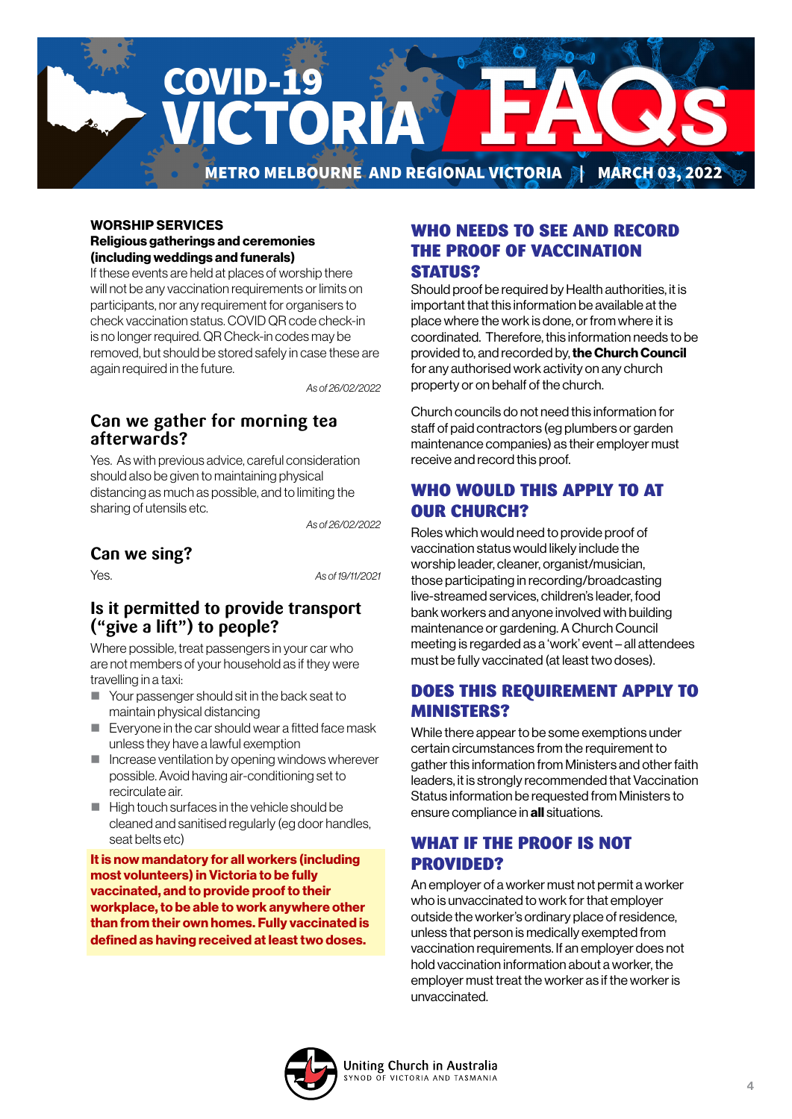

#### WORSHIP SERVICES Religious gatherings and ceremonies (including weddings and funerals)

If these events are held at places of worship there will not be any vaccination requirements or limits on participants, nor any requirement for organisers to check vaccination status. COVID QR code check-in is no longer required. QR Check-in codes may be removed, but should be stored safely in case these are again required in the future.

*As of 26/02/2022*

## **Can we gather for morning tea afterwards?**

Yes. As with previous advice, careful consideration should also be given to maintaining physical distancing as much as possible, and to limiting the sharing of utensils etc.

*As of 26/02/2022*

# **Can we sing?**

Yes. *As of 19/11/2021*

### **Is it permitted to provide transport ("give a lift") to people?**

Where possible, treat passengers in your car who are not members of your household as if they were travelling in a taxi:

- Your passenger should sit in the back seat to maintain physical distancing
- Everyone in the car should wear a fitted face mask unless they have a lawful exemption
- $\blacksquare$  Increase ventilation by opening windows wherever possible. Avoid having air-conditioning set to recirculate air.
- $\blacksquare$  High touch surfaces in the vehicle should be cleaned and sanitised regularly (eg door handles, seat belts etc)

It is now mandatory for all workers (including most volunteers) in Victoria to be fully vaccinated, and to provide proof to their workplace, to be able to work anywhere other than from their own homes. Fully vaccinated is defined as having received at least two doses.

### WHO NEEDS TO SEE AND RECORD THE PROOF OF VACCINATION STATUS?

Should proof be required by Health authorities, it is important that this information be available at the place where the work is done, or from where it is coordinated. Therefore, this information needs to be provided to, and recorded by, the Church Council for any authorised work activity on any church property or on behalf of the church.

Church councils do not need this information for staff of paid contractors (eg plumbers or garden maintenance companies) as their employer must receive and record this proof.

# WHO WOULD THIS APPLY TO AT OUR CHURCH?

Roles which would need to provide proof of vaccination status would likely include the worship leader, cleaner, organist/musician, those participating in recording/broadcasting live-streamed services, children's leader, food bank workers and anyone involved with building maintenance or gardening. A Church Council meeting is regarded as a 'work' event – all attendees must be fully vaccinated (at least two doses).

# DOES THIS REQUIREMENT APPLY TO MINISTERS?

While there appear to be some exemptions under certain circumstances from the requirement to gather this information from Ministers and other faith leaders, it is strongly recommended that Vaccination Status information be requested from Ministers to ensure compliance in all situations.

# WHAT IF THE PROOF IS NOT PROVIDED?

An employer of a worker must not permit a worker who is unvaccinated to work for that employer outside the worker's ordinary place of residence, unless that person is medically exempted from vaccination requirements. If an employer does not hold vaccination information about a worker, the employer must treat the worker as if the worker is unvaccinated.

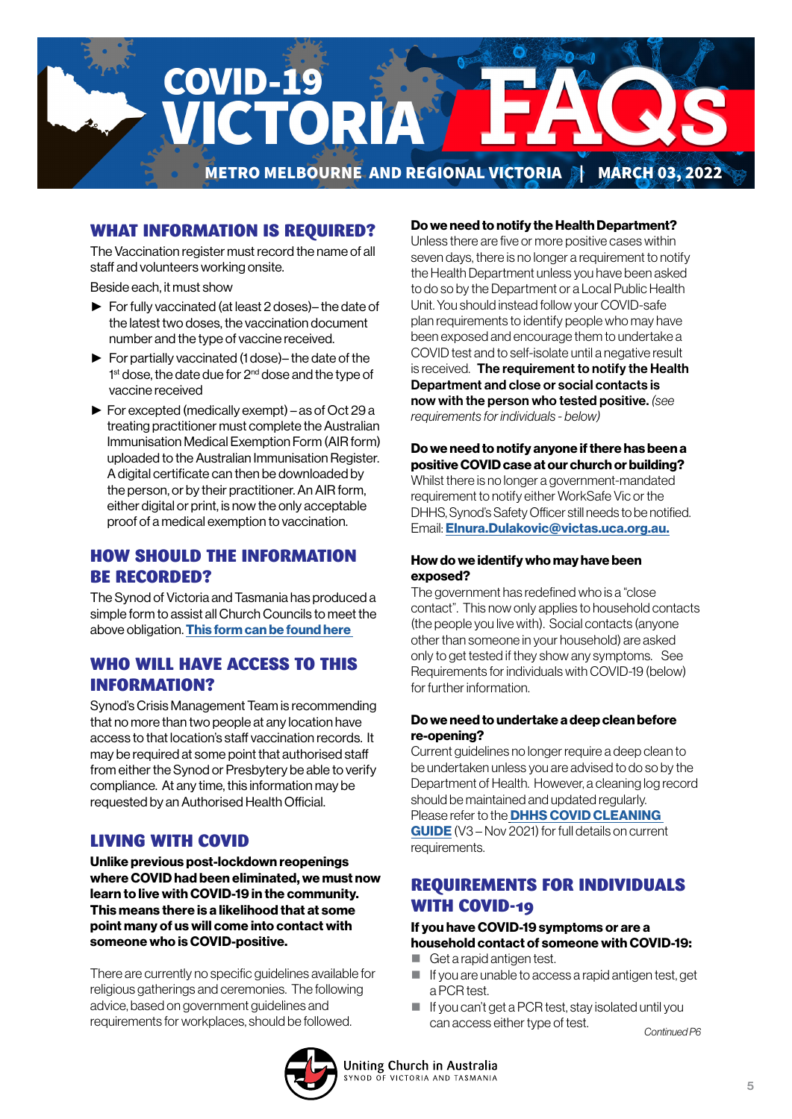

## WHAT INFORMATION IS REQUIRED?

The Vaccination register must record the name of all staff and volunteers working onsite.

Beside each, it must show

- ► For fully vaccinated (at least 2 doses)– the date of the latest two doses, the vaccination document number and the type of vaccine received.
- ► For partially vaccinated (1 dose)– the date of the 1<sup>st</sup> dose, the date due for 2<sup>nd</sup> dose and the type of vaccine received
- ► For excepted (medically exempt) as of Oct 29 a treating practitioner must complete the Australian Immunisation Medical Exemption Form (AIR form) uploaded to the Australian Immunisation Register. A digital certificate can then be downloaded by the person, or by their practitioner. An AIR form, either digital or print, is now the only acceptable proof of a medical exemption to vaccination.

### HOW SHOULD THE INFORMATION BE RECORDED?

The Synod of Victoria and Tasmania has produced a simple form to assist all Church Councils to meet the above obligation. [This form can be found here](https://victas.uca.org.au/download/668/faq/11504/worker-vaccination-status-record-congregations) 

### WHO WILL HAVE ACCESS TO THIS INFORMATION?

Synod's Crisis Management Team is recommending that no more than two people at any location have access to that location's staff vaccination records. It may be required at some point that authorised staff from either the Synod or Presbytery be able to verify compliance. At any time, this information may be requested by an Authorised Health Official.

#### LIVING WITH COVID

Unlike previous post-lockdown reopenings where COVID had been eliminated, we must now learn to live with COVID-19 in the community. This means there is a likelihood that at some point many of us will come into contact with someone who is COVID-positive.

There are currently no specific guidelines available for religious gatherings and ceremonies. The following advice, based on government guidelines and

#### Do we need to notify the Health Department?

Unless there are five or more positive cases within seven days, there is no longer a requirement to notify the Health Department unless you have been asked to do so by the Department or a Local Public Health Unit. You should instead follow your COVID-safe plan requirements to identify people who may have been exposed and encourage them to undertake a COVID test and to self-isolate until a negative result is received. The requirement to notify the Health Department and close or social contacts is now with the person who tested positive. *(see requirements for individuals - below)*

#### Do we need to notify anyone if there has been a positive COVID case at our church or building? Whilst there is no longer a government-mandated requirement to notify either WorkSafe Vic or the DHHS, Synod's Safety Officer still needs to be notified. Email: [Elnura.Dulakovic@victas.uca.org.au.](mailto:Elnura.Dulakovic%40victas.uca.org.au.?subject=)

#### How do we identify who may have been exposed?

The government has redefined who is a "close contact". This now only applies to household contacts (the people you live with). Social contacts (anyone other than someone in your household) are asked only to get tested if they show any symptoms. See Requirements for individuals with COVID-19 (below) for further information.

#### Do we need to undertake a deep clean before re-opening?

Current guidelines no longer require a deep clean to be undertaken unless you are advised to do so by the Department of Health. However, a cleaning log record should be maintained and updated regularly. Please refer to the **DHHS COVID CLEANING** [GUIDE](https://victas.uca.org.au/download/668/faq/11557/covid-cleaning-guide) (V3 – Nov 2021) for full details on current requirements.

### REQUIREMENTS FOR INDIVIDUALS WITH COVID-19

#### If you have COVID-19 symptoms or are a household contact of someone with COVID-19:

- Get a rapid antigen test.
- $\blacksquare$  If you are unable to access a rapid antigen test, get a PCR test.
- If you can't get a PCR test, stay isolated until you can access either type of test. requirements for workplaces, should be followed. *Continued P6*

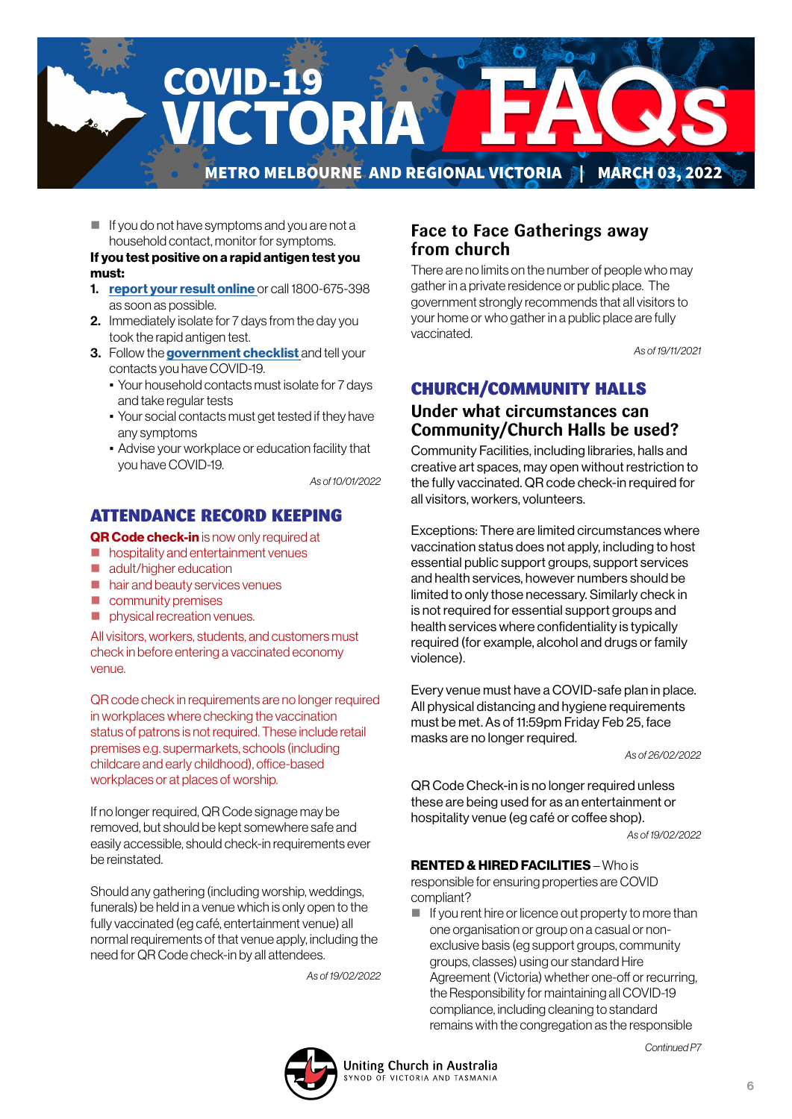

 $\blacksquare$  If you do not have symptoms and you are not a household contact, monitor for symptoms.

#### If you test positive on a rapid antigen test you must:

- 1. [report your result online](https://www.coronavirus.vic.gov.au/node/22270) or call 1800-675-398 as soon as possible.
- 2. Immediately isolate for 7 days from the day you took the rapid antigen test.
- 3. Follow the [government checklist]( https://www.coronavirus.vic.gov.au/checklist) and tell your contacts you have COVID-19.
	- Your household contacts must isolate for 7 days and take regular tests
	- Your social contacts must get tested if they have any symptoms
	- Advise your workplace or education facility that you have COVID-19.

*As of 10/01/2022*

### ATTENDANCE RECORD KEEPING

#### QR Code check-in is now only required at

- **h** hospitality and entertainment venues
- adult/higher education
- hair and beauty services venues
- **Community premises**
- physical recreation venues.

All visitors, workers, students, and customers must check in before entering a vaccinated economy venue.

QR code check in requirements are no longer required in workplaces where checking the vaccination status of patrons is not required. These include retail premises e.g. supermarkets, schools (including childcare and early childhood), office-based workplaces or at places of worship.

If no longer required, QR Code signage may be removed, but should be kept somewhere safe and easily accessible, should check-in requirements ever be reinstated.

Should any gathering (including worship, weddings, funerals) be held in a venue which is only open to the fully vaccinated (eg café, entertainment venue) all normal requirements of that venue apply, including the need for QR Code check-in by all attendees.

*As of 19/02/2022*

### **Face to Face Gatherings away from church**

There are no limits on the number of people who may gather in a private residence or public place. The government strongly recommends that all visitors to your home or who gather in a public place are fully vaccinated.

*As of 19/11/2021*

# CHURCH/COMMUNITY HALLS

## **Under what circumstances can Community/Church Halls be used?**

Community Facilities, including libraries, halls and creative art spaces, may open without restriction to the fully vaccinated. QR code check-in required for all visitors, workers, volunteers.

Exceptions: There are limited circumstances where vaccination status does not apply, including to host essential public support groups, support services and health services, however numbers should be limited to only those necessary. Similarly check in is not required for essential support groups and health services where confidentiality is typically required (for example, alcohol and drugs or family violence).

Every venue must have a COVID-safe plan in place. All physical distancing and hygiene requirements must be met. As of 11:59pm Friday Feb 25, face masks are no longer required.

*As of 26/02/2022*

QR Code Check-in is no longer required unless these are being used for as an entertainment or hospitality venue (eg café or coffee shop).

*As of 19/02/2022*

#### RENTED & HIRED FACILITIES – Who is

responsible for ensuring properties are COVID compliant?

 $\blacksquare$  If you rent hire or licence out property to more than one organisation or group on a casual or nonexclusive basis (eg support groups, community groups, classes) using our standard Hire Agreement (Victoria) whether one-off or recurring, the Responsibility for maintaining all COVID-19 compliance, including cleaning to standard remains with the congregation as the responsible



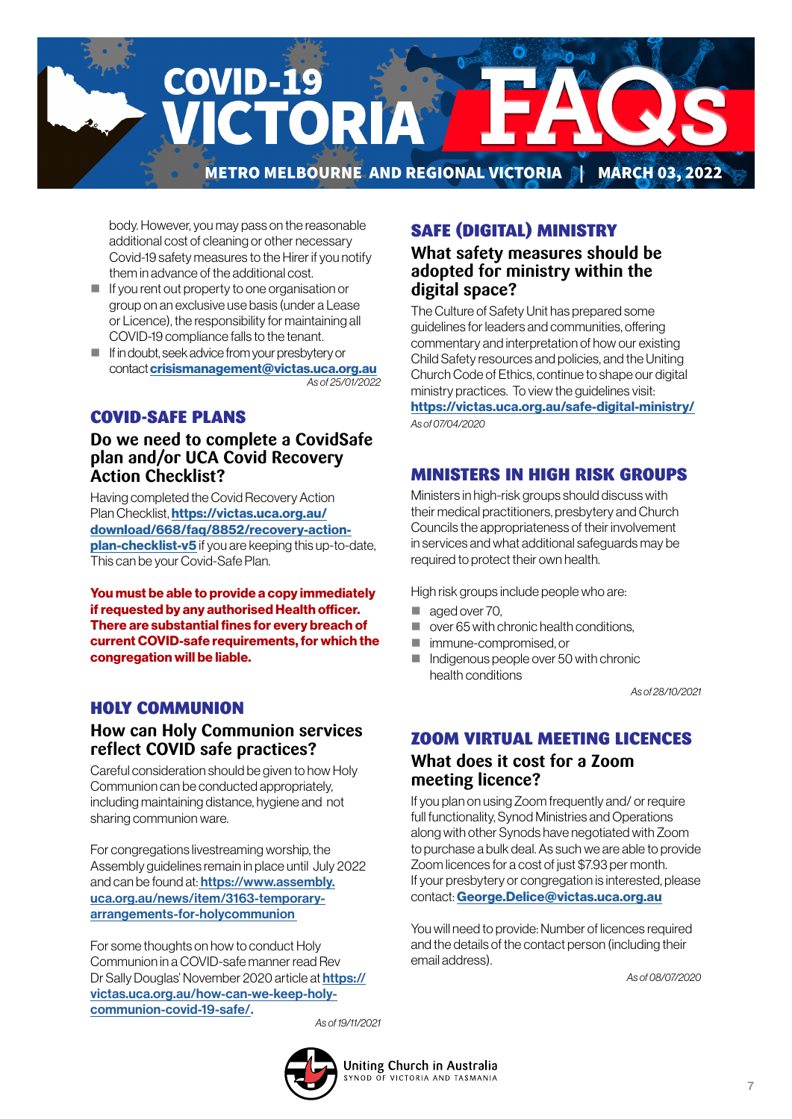

body. However, you may pass on the reasonable additional cost of cleaning or other necessary Covid-19 safety measures to the Hirer if you notify them in advance of the additional cost.

- $\blacksquare$  If you rent out property to one organisation or group on an exclusive use basis (under a Lease or Licence), the responsibility for maintaining all COVID-19 compliance falls to the tenant.
- $\blacksquare$  If in doubt, seek advice from your presbytery or contact [crisismanagement@victas.uca.org.au](mailto:crisismanagement%40victas.uca.org.au%20?subject=) *As of 25/01/2022*

# COVID-SAFE PLANS

### **Do we need to complete a CovidSafe plan and/or UCA Covid Recovery Action Checklist?**

Having completed the Covid Recovery Action Plan Checklist, [https://victas.uca.org.au/](https://victas.uca.org.au/download/668/faq/8852/recovery-action-plan-checklist-v5) [download/668/faq/8852/recovery-action](https://victas.uca.org.au/download/668/faq/8852/recovery-action-plan-checklist-v5)[plan-checklist-v5](https://victas.uca.org.au/download/668/faq/8852/recovery-action-plan-checklist-v5) if you are keeping this up-to-date, This can be your Covid-Safe Plan.

You must be able to provide a copy immediately if requested by any authorised Health officer. There are substantial fines for every breach of current COVID-safe requirements, for which the congregation will be liable.

### HOLY COMMUNION

# **How can Holy Communion services reflect COVID safe practices?**

Careful consideration should be given to how Holy Communion can be conducted appropriately, including maintaining distance, hygiene and not sharing communion ware.

For congregations livestreaming worship, the Assembly guidelines remain in place until July 2022 and can be found at: [https://www.assembly.](https://
www.assembly.uca.org.au/news/item/3163-
temporary-arrangements-for-holycommunion ) [uca.org.au/news/item/3163-temporary](https://
www.assembly.uca.org.au/news/item/3163-
temporary-arrangements-for-holycommunion )[arrangements-for-holycommunion](https://
www.assembly.uca.org.au/news/item/3163-
temporary-arrangements-for-holycommunion ) 

For some thoughts on how to conduct Holy Communion in a COVID-safe manner read Rev Dr Sally Douglas' November 2020 article at [https://](https://

victas.uca.org.au/how-can-we-keep-holy-

communion-covid-19-safe/) [victas.uca.org.au/how-can-we-keep-holy](https://

victas.uca.org.au/how-can-we-keep-holy-

communion-covid-19-safe/)[communion-covid-19-safe/.](https://

victas.uca.org.au/how-can-we-keep-holy-

communion-covid-19-safe/) 

# SAFE (DIGITAL) MINISTRY

### **What safety measures should be adopted for ministry within the digital space?**

The Culture of Safety Unit has prepared some guidelines for leaders and communities, offering commentary and interpretation of how our existing Child Safety resources and policies, and the Uniting Church Code of Ethics, continue to shape our digital ministry practices. To view the guidelines visit: <https://victas.uca.org.au/safe-digital-ministry/>

*As of 07/04/2020*

# MINISTERS IN HIGH RISK GROUPS

Ministers in high-risk groups should discuss with their medical practitioners, presbytery and Church Councils the appropriateness of their involvement in services and what additional safeguards may be required to protect their own health.

High risk groups include people who are:

- aged over 70.
- over 65 with chronic health conditions,
- **n** immune-compromised, or
- Indigenous people over 50 with chronic health conditions

*As of 28/10/2021*

# ZOOM VIRTUAL MEETING LICENCES **What does it cost for a Zoom meeting licence?**

If you plan on using Zoom frequently and/ or require full functionality, Synod Ministries and Operations along with other Synods have negotiated with Zoom to purchase a bulk deal. As such we are able to provide Zoom licences for a cost of just \$7.93 per month. If your presbytery or congregation is interested, please contact: [George.Delice@victas.uca.org.au](mailto:George.Delice%40victas.uca.org.au?subject=)

You will need to provide: Number of licences required and the details of the contact person (including their email address).

*As of 08/07/2020*

*As of 19/11/2021*

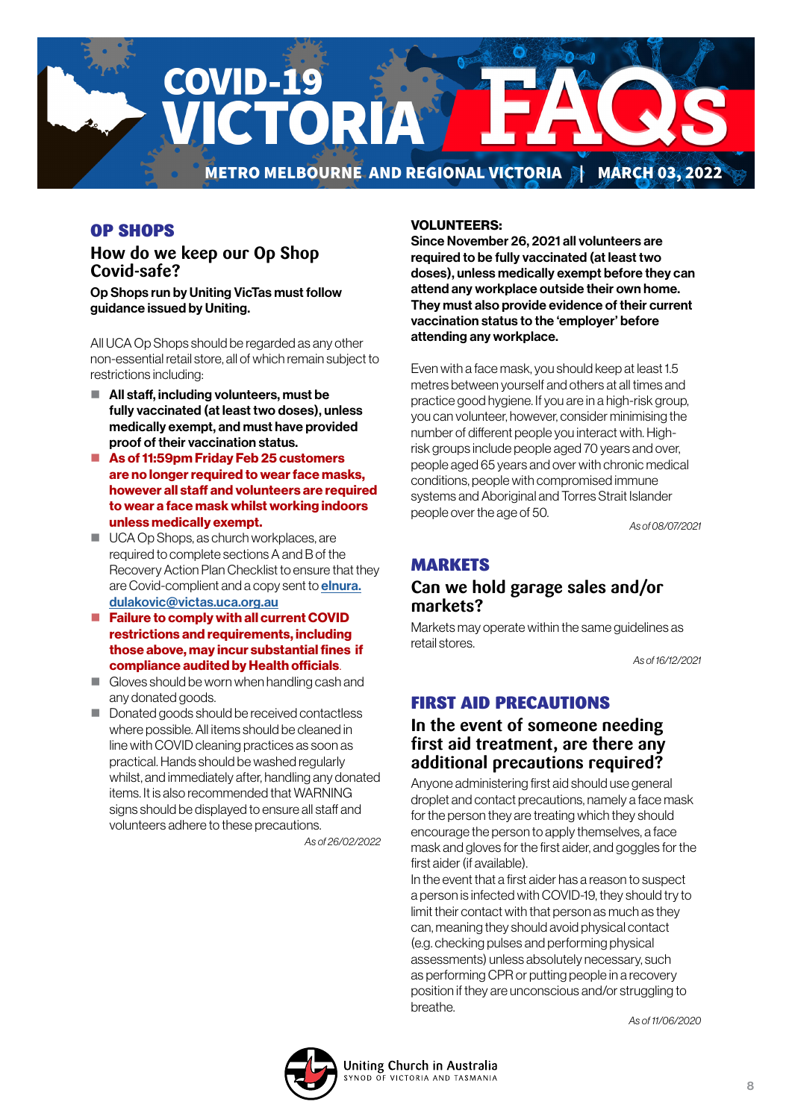

# OP SHOPS

# **How do we keep our Op Shop Covid-safe?**

Op Shops run by Uniting VicTas must follow guidance issued by Uniting.

All UCA Op Shops should be regarded as any other non-essential retail store, all of which remain subject to restrictions including:

- All staff, including volunteers, must be fully vaccinated (at least two doses), unless medically exempt, and must have provided proof of their vaccination status.
- As of 11:59pm Friday Feb 25 customers are no longer required to wear face masks, however all staff and volunteers are required to wear a face mask whilst working indoors unless medically exempt.
- UCA Op Shops, as church workplaces, are required to complete sections A and B of the Recovery Action Plan Checklist to ensure that they are Covid-complient and a copy sent to **[elnura.](mailto:elnura.dulakovic%40victas.uca.org.au%20%20?subject=)** [dulakovic@victas.uca.org.au](mailto:elnura.dulakovic%40victas.uca.org.au%20%20?subject=)
- Failure to comply with all current COVID [restrictions and requirements, including](mailto:elnura.dulakovic%40victas.uca.org.au%20%20?subject=)  [those above, may incur substantial fines if](mailto:elnura.dulakovic%40victas.uca.org.au%20%20?subject=)  [compliance audited by Health officials](mailto:elnura.dulakovic%40victas.uca.org.au%20%20?subject=).
- Gloves should be worn when handling cash and any donated goods.
- Donated goods should be received contactless where possible. All items should be cleaned in line with COVID cleaning practices as soon as practical. Hands should be washed regularly whilst, and immediately after, handling any donated items. It is also recommended that WARNING signs should be displayed to ensure all staff and volunteers adhere to these precautions.

*As of 26/02/2022*

#### VOLUNTEERS:

Since November 26, 2021 all volunteers are required to be fully vaccinated (at least two doses), unless medically exempt before they can attend any workplace outside their own home. They must also provide evidence of their current vaccination status to the 'employer' before attending any workplace.

Even with a face mask, you should keep at least 1.5 metres between yourself and others at all times and practice good hygiene. If you are in a high-risk group, you can volunteer, however, consider minimising the number of different people you interact with. Highrisk groups include people aged 70 years and over, people aged 65 years and over with chronic medical conditions, people with compromised immune systems and Aboriginal and Torres Strait Islander people over the age of 50.

*As of 08/07/2021*

# **MARKETS**

### **Can we hold garage sales and/or markets?**

Markets may operate within the same guidelines as retail stores.

*As of 16/12/2021*

# FIRST AID PRECAUTIONS

# **In the event of someone needing first aid treatment, are there any additional precautions required?**

Anyone administering first aid should use general droplet and contact precautions, namely a face mask for the person they are treating which they should encourage the person to apply themselves, a face mask and gloves for the first aider, and goggles for the first aider (if available).

In the event that a first aider has a reason to suspect a person is infected with COVID-19, they should try to limit their contact with that person as much as they can, meaning they should avoid physical contact (e.g. checking pulses and performing physical assessments) unless absolutely necessary, such as performing CPR or putting people in a recovery position if they are unconscious and/or struggling to breathe.

*As of 11/06/2020*